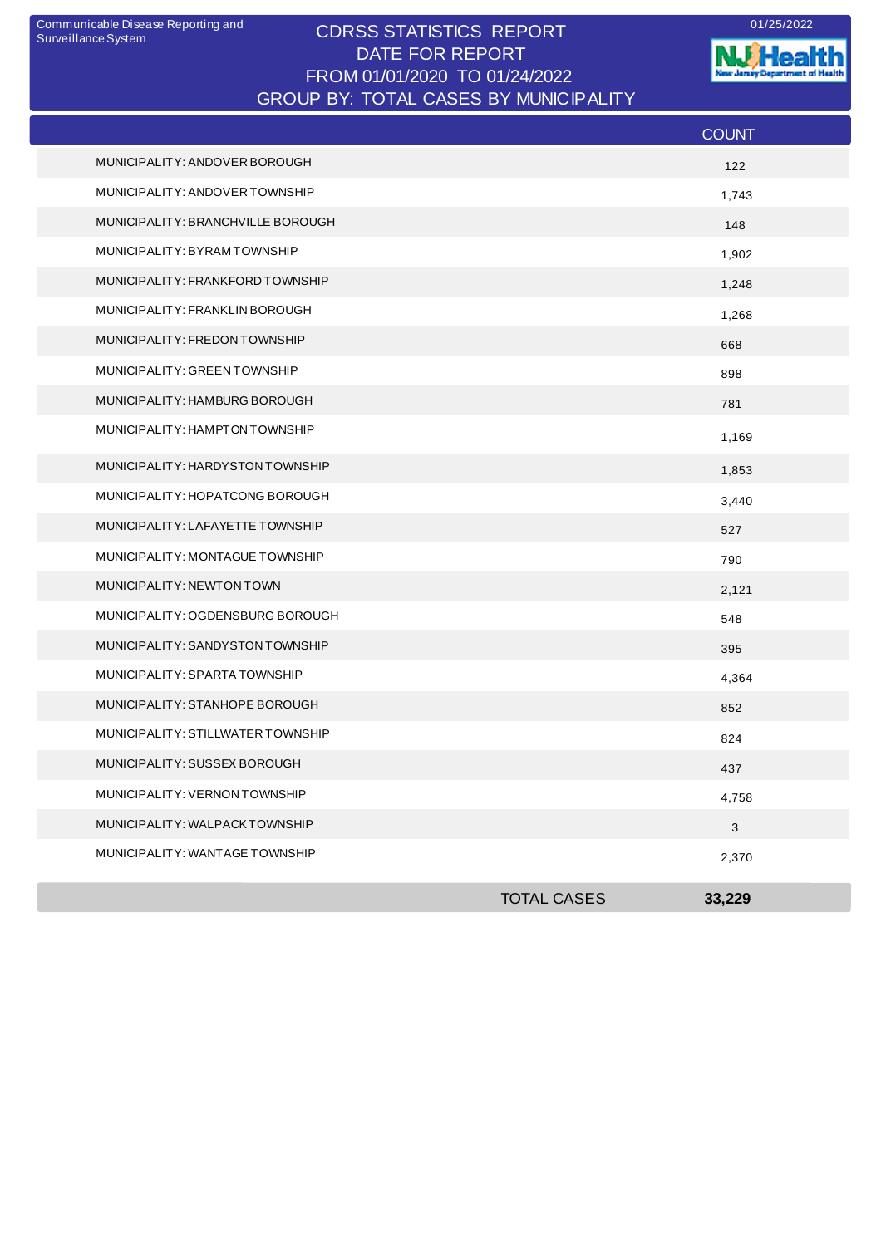## CDRSS STATISTICS REPORT Communicable Disease Reporting and 01/25/2022 DATE FOR REPORT FROM 01/01/2020 TO 01/24/2022 GROUP BY: TOTAL CASES BY MUNICIPALITY

**W**Health nt of Health ж. antar<br>1910

|                                   |                    | <b>COUNT</b>              |
|-----------------------------------|--------------------|---------------------------|
| MUNICIPALITY: ANDOVER BOROUGH     |                    | 122                       |
| MUNICIPALITY: ANDOVER TOWNSHIP    |                    | 1,743                     |
| MUNICIPALITY: BRANCHVILLE BOROUGH |                    | 148                       |
| MUNICIPALITY: BYRAM TOWNSHIP      |                    | 1,902                     |
| MUNICIPALITY: FRANKFORD TOWNSHIP  |                    | 1,248                     |
| MUNICIPALITY: FRANKLIN BOROUGH    |                    | 1,268                     |
| MUNICIPALITY: FREDON TOWNSHIP     |                    | 668                       |
| MUNICIPALITY: GREEN TOWNSHIP      |                    | 898                       |
| MUNICIPALITY: HAMBURG BOROUGH     |                    | 781                       |
| MUNICIPALITY: HAMPTON TOWNSHIP    |                    | 1,169                     |
| MUNICIPALITY: HARDYSTON TOWNSHIP  |                    | 1,853                     |
| MUNICIPALITY: HOPATCONG BOROUGH   |                    | 3,440                     |
| MUNICIPALITY: LAFAYETTE TOWNSHIP  |                    | 527                       |
| MUNICIPALITY: MONTAGUE TOWNSHIP   |                    | 790                       |
| MUNICIPALITY: NEWTON TOWN         |                    | 2,121                     |
| MUNICIPALITY: OGDENSBURG BOROUGH  |                    | 548                       |
| MUNICIPALITY: SANDYSTON TOWNSHIP  |                    | 395                       |
| MUNICIPALITY: SPARTA TOWNSHIP     |                    | 4,364                     |
| MUNICIPALITY: STANHOPE BOROUGH    |                    | 852                       |
| MUNICIPALITY: STILLWATER TOWNSHIP |                    | 824                       |
| MUNICIPALITY: SUSSEX BOROUGH      |                    | 437                       |
| MUNICIPALITY: VERNON TOWNSHIP     |                    | 4,758                     |
| MUNICIPALITY: WALPACKTOWNSHIP     |                    | $\ensuremath{\mathsf{3}}$ |
| MUNICIPALITY: WANTAGE TOWNSHIP    |                    | 2,370                     |
|                                   | <b>TOTAL CASES</b> | 33,229                    |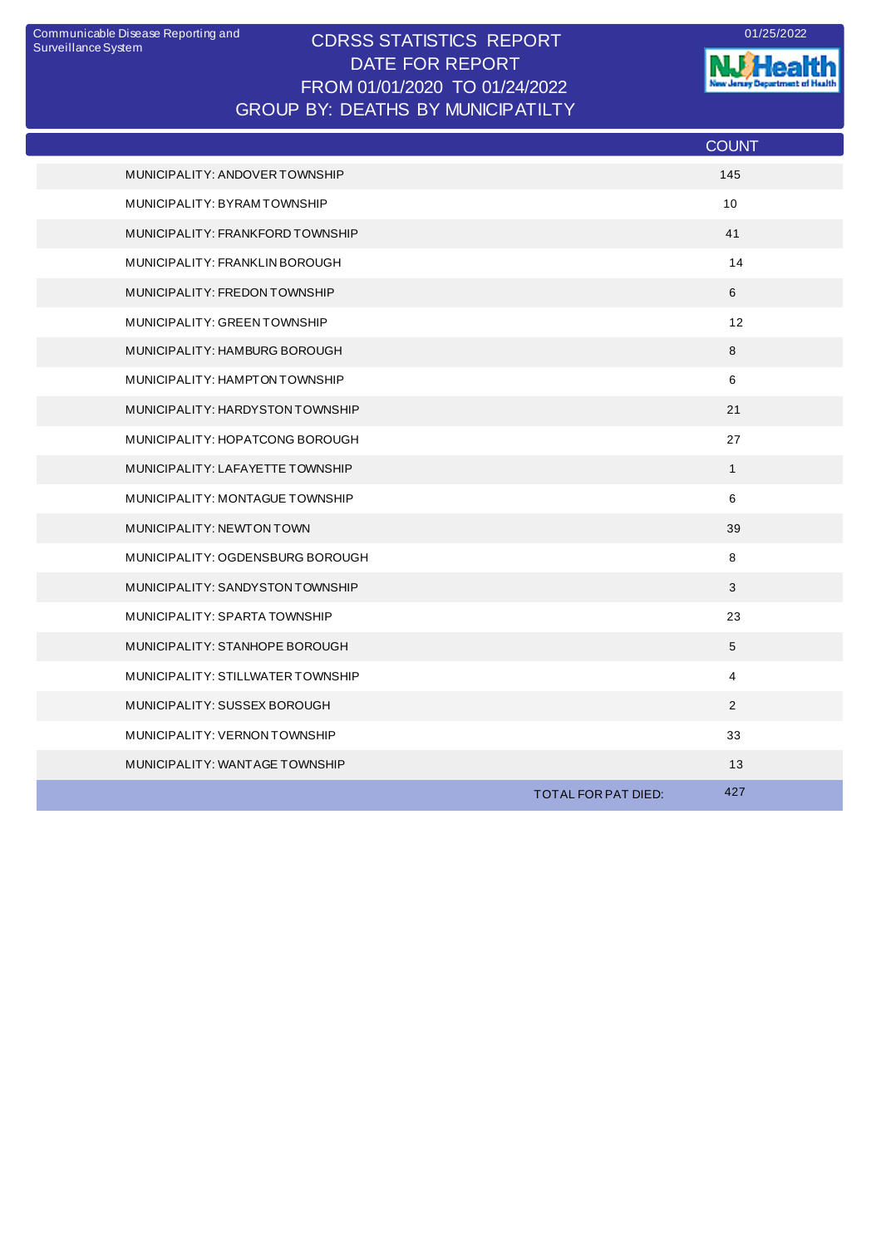## CDRSS STATISTICS REPORT Communicable Disease Reporting and 01/25/2022 DATE FOR REPORT FROM 01/01/2020 TO 01/24/2022 GROUP BY: DEATHS BY MUNICIPATILTY

**W.Health** 

|                                   |                     | <b>COUNT</b>   |
|-----------------------------------|---------------------|----------------|
| MUNICIPALITY: ANDOVER TOWNSHIP    |                     | 145            |
| MUNICIPALITY: BYRAMTOWNSHIP       |                     | 10             |
| MUNICIPALITY: FRANKFORD TOWNSHIP  |                     | 41             |
| MUNICIPALITY: FRANKLIN BOROUGH    |                     | 14             |
| MUNICIPALITY: FREDON TOWNSHIP     |                     | 6              |
| MUNICIPALITY: GREEN TOWNSHIP      |                     | 12             |
| MUNICIPALITY: HAMBURG BOROUGH     |                     | 8              |
| MUNICIPALITY: HAMPTON TOWNSHIP    |                     | 6              |
| MUNICIPALITY: HARDYSTON TOWNSHIP  |                     | 21             |
| MUNICIPALITY: HOPATCONG BOROUGH   |                     | 27             |
| MUNICIPALITY: LAFAYETTE TOWNSHIP  |                     | $\mathbf{1}$   |
| MUNICIPALITY: MONTAGUE TOWNSHIP   |                     | 6              |
| MUNICIPALITY: NEWTON TOWN         |                     | 39             |
| MUNICIPALITY: OGDENSBURG BOROUGH  |                     | 8              |
| MUNICIPALITY: SANDYSTON TOWNSHIP  |                     | 3              |
| MUNICIPALITY: SPARTA TOWNSHIP     |                     | 23             |
| MUNICIPALITY: STANHOPE BOROUGH    |                     | 5              |
| MUNICIPALITY: STILLWATER TOWNSHIP |                     | $\overline{4}$ |
| MUNICIPALITY: SUSSEX BOROUGH      |                     | $\overline{2}$ |
| MUNICIPALITY: VERNON TOWNSHIP     |                     | 33             |
| MUNICIPALITY: WANTAGE TOWNSHIP    |                     | 13             |
|                                   | TOTAL FOR PAT DIED: | 427            |